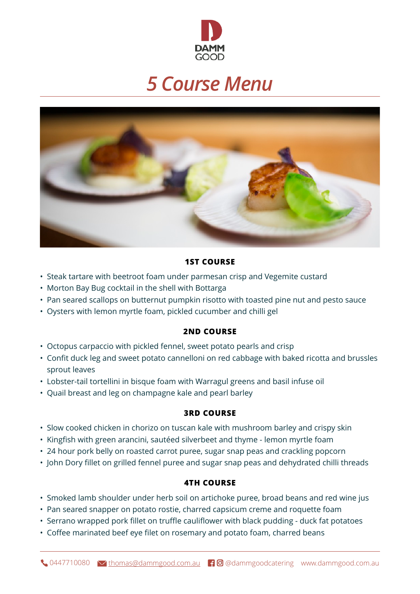

# *5 Course Menu*



### **1ST COURSE**

- Steak tartare with beetroot foam under parmesan crisp and Vegemite custard
- Morton Bay Bug cocktail in the shell with Bottarga
- Pan seared scallops on butternut pumpkin risotto with toasted pine nut and pesto sauce
- Oysters with lemon myrtle foam, pickled cucumber and chilli gel

#### **2ND COURSE**

- Octopus carpaccio with pickled fennel, sweet potato pearls and crisp
- Confit duck leg and sweet potato cannelloni on red cabbage with baked ricotta and brussles sprout leaves
- Lobster-tail tortellini in bisque foam with Warragul greens and basil infuse oil
- Quail breast and leg on champagne kale and pearl barley

### **3RD COURSE**

- Slow cooked chicken in chorizo on tuscan kale with mushroom barley and crispy skin
- Kingfish with green arancini, sautéed silverbeet and thyme lemon myrtle foam
- 24 hour pork belly on roasted carrot puree, sugar snap peas and crackling popcorn
- John Dory fillet on grilled fennel puree and sugar snap peas and dehydrated chilli threads

#### **4TH COURSE**

- Smoked lamb shoulder under herb soil on artichoke puree, broad beans and red wine jus
- Pan seared snapper on potato rostie, charred capsicum creme and roquette foam
- Serrano wrapped pork fillet on truffle cauliflower with black pudding duck fat potatoes
- Coffee marinated beef eye filet on rosemary and potato foam, charred beans